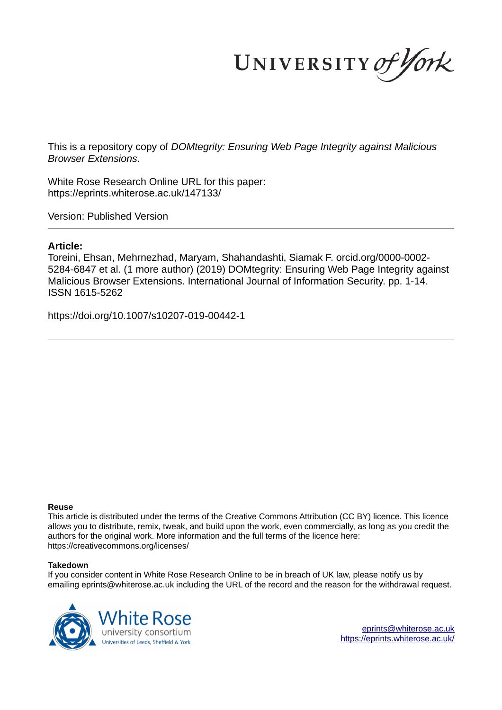UNIVERSITY of York

This is a repository copy of *DOMtegrity: Ensuring Web Page Integrity against Malicious Browser Extensions*.

White Rose Research Online URL for this paper: https://eprints.whiterose.ac.uk/147133/

Version: Published Version

# **Article:**

Toreini, Ehsan, Mehrnezhad, Maryam, Shahandashti, Siamak F. orcid.org/0000-0002- 5284-6847 et al. (1 more author) (2019) DOMtegrity: Ensuring Web Page Integrity against Malicious Browser Extensions. International Journal of Information Security. pp. 1-14. ISSN 1615-5262

https://doi.org/10.1007/s10207-019-00442-1

## **Reuse**

This article is distributed under the terms of the Creative Commons Attribution (CC BY) licence. This licence allows you to distribute, remix, tweak, and build upon the work, even commercially, as long as you credit the authors for the original work. More information and the full terms of the licence here: https://creativecommons.org/licenses/

## **Takedown**

If you consider content in White Rose Research Online to be in breach of UK law, please notify us by emailing eprints@whiterose.ac.uk including the URL of the record and the reason for the withdrawal request.

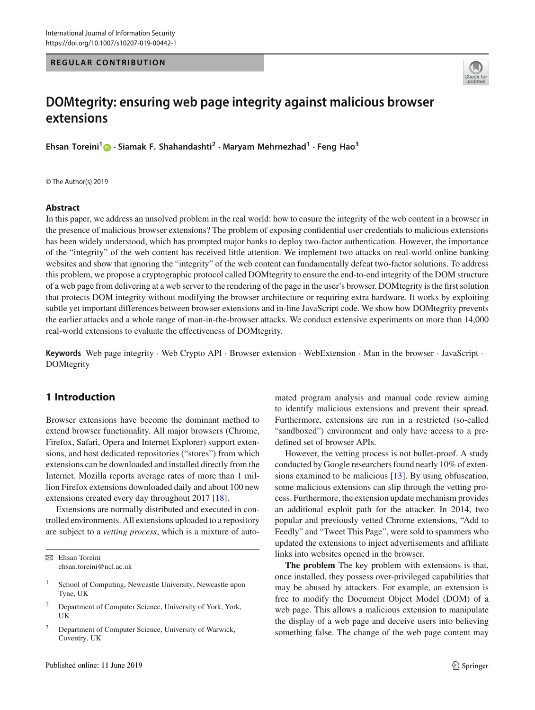## **REGULAR CONTRIBUTION**



# **DOMtegrity: ensuring web page integrity against malicious browser extensions**

**Ehsan Toreini[1](http://orcid.org/0000-0002-5172-2957)** · **Siamak F. Shahandashti<sup>2</sup>** · **Maryam Mehrnezhad<sup>1</sup>** · **Feng Hao<sup>3</sup>**

© The Author(s) 2019

#### **Abstract**

In this paper, we address an unsolved problem in the real world: how to ensure the integrity of the web content in a browser in the presence of malicious browser extensions? The problem of exposing confidential user credentials to malicious extensions has been widely understood, which has prompted major banks to deploy two-factor authentication. However, the importance of the "integrity" of the web content has received little attention. We implement two attacks on real-world online banking websites and show that ignoring the "integrity" of the web content can fundamentally defeat two-factor solutions. To address this problem, we propose a cryptographic protocol called DOMtegrity to ensure the end-to-end integrity of the DOM structure of a web page from delivering at a web server to the rendering of the page in the user's browser. DOMtegrity is the first solution that protects DOM integrity without modifying the browser architecture or requiring extra hardware. It works by exploiting subtle yet important differences between browser extensions and in-line JavaScript code. We show how DOMtegrity prevents the earlier attacks and a whole range of man-in-the-browser attacks. We conduct extensive experiments on more than 14,000 real-world extensions to evaluate the effectiveness of DOMtegrity.

**Keywords** Web page integrity · Web Crypto API · Browser extension · WebExtension · Man in the browser · JavaScript · **DOMtegrity** 

# **1 Introduction**

Browser extensions have become the dominant method to extend browser functionality. All major browsers (Chrome, Firefox, Safari, Opera and Internet Explorer) support extensions, and host dedicated repositories ("stores") from which extensions can be downloaded and installed directly from the Internet. Mozilla reports average rates of more than 1 million Firefox extensions downloaded daily and about 100 new extensions created every day throughout 2017 [\[18\]](#page-14-0).

Extensions are normally distributed and executed in controlled environments. All extensions uploaded to a repository are subject to a *vetting process*, which is a mixture of auto-

 $\boxtimes$  Ehsan Toreini ehsan.toreini@ncl.ac.uk

- <sup>1</sup> School of Computing, Newcastle University, Newcastle upon Tyne, UK
- <sup>2</sup> Department of Computer Science, University of York, York, UK
- <sup>3</sup> Department of Computer Science, University of Warwick, Coventry, UK

mated program analysis and manual code review aiming to identify malicious extensions and prevent their spread. Furthermore, extensions are run in a restricted (so-called "sandboxed") environment and only have access to a predefined set of browser APIs.

However, the vetting process is not bullet-proof. A study conducted by Google researchers found nearly 10% of extensions examined to be malicious [\[13](#page-14-1)]. By using obfuscation, some malicious extensions can slip through the vetting process. Furthermore, the extension update mechanism provides an additional exploit path for the attacker. In 2014, two popular and previously vetted Chrome extensions, "Add to Feedly" and "Tweet This Page", were sold to spammers who updated the extensions to inject advertisements and affiliate links into websites opened in the browser.

**The problem** The key problem with extensions is that, once installed, they possess over-privileged capabilities that may be abused by attackers. For example, an extension is free to modify the Document Object Model (DOM) of a web page. This allows a malicious extension to manipulate the display of a web page and deceive users into believing something false. The change of the web page content may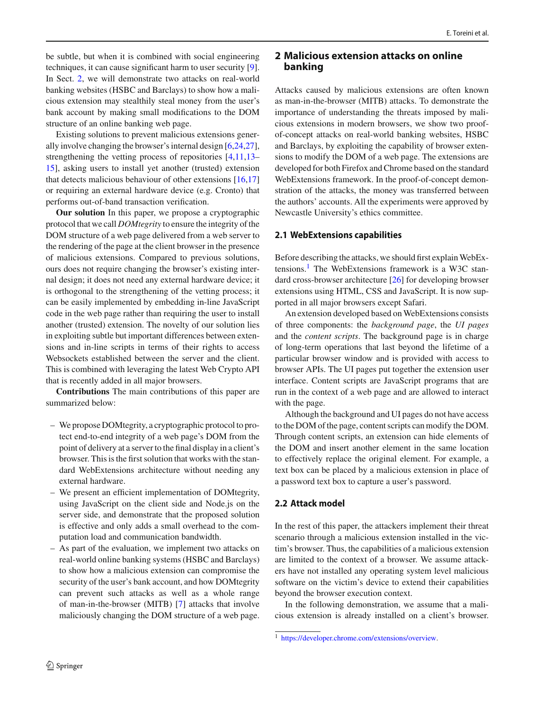be subtle, but when it is combined with social engineering techniques, it can cause significant harm to user security [\[9](#page-14-2)]. In Sect. [2,](#page-2-0) we will demonstrate two attacks on real-world banking websites (HSBC and Barclays) to show how a malicious extension may stealthily steal money from the user's bank account by making small modifications to the DOM structure of an online banking web page.

Existing solutions to prevent malicious extensions generally involve changing the browser's internal design [\[6](#page-13-0)[,24](#page-14-3)[,27](#page-14-4)], strengthening the vetting process of repositories [\[4](#page-13-1)[,11](#page-14-5)[,13](#page-14-1)– [15\]](#page-14-6), asking users to install yet another (trusted) extension that detects malicious behaviour of other extensions [\[16](#page-14-7)[,17\]](#page-14-8) or requiring an external hardware device (e.g. Cronto) that performs out-of-band transaction verification.

**Our solution** In this paper, we propose a cryptographic protocol that we call *DOMtegrity* to ensure the integrity of the DOM structure of a web page delivered from a web server to the rendering of the page at the client browser in the presence of malicious extensions. Compared to previous solutions, ours does not require changing the browser's existing internal design; it does not need any external hardware device; it is orthogonal to the strengthening of the vetting process; it can be easily implemented by embedding in-line JavaScript code in the web page rather than requiring the user to install another (trusted) extension. The novelty of our solution lies in exploiting subtle but important differences between extensions and in-line scripts in terms of their rights to access Websockets established between the server and the client. This is combined with leveraging the latest Web Crypto API that is recently added in all major browsers.

**Contributions** The main contributions of this paper are summarized below:

- We propose DOMtegrity, a cryptographic protocol to protect end-to-end integrity of a web page's DOM from the point of delivery at a server to the final display in a client's browser. This is the first solution that works with the standard WebExtensions architecture without needing any external hardware.
- We present an efficient implementation of DOMtegrity, using JavaScript on the client side and Node.js on the server side, and demonstrate that the proposed solution is effective and only adds a small overhead to the computation load and communication bandwidth.
- As part of the evaluation, we implement two attacks on real-world online banking systems (HSBC and Barclays) to show how a malicious extension can compromise the security of the user's bank account, and how DOMtegrity can prevent such attacks as well as a whole range of man-in-the-browser (MITB) [\[7\]](#page-14-9) attacks that involve maliciously changing the DOM structure of a web page.

# <span id="page-2-0"></span>**2 Malicious extension attacks on online banking**

Attacks caused by malicious extensions are often known as man-in-the-browser (MITB) attacks. To demonstrate the importance of understanding the threats imposed by malicious extensions in modern browsers, we show two proofof-concept attacks on real-world banking websites, HSBC and Barclays, by exploiting the capability of browser extensions to modify the DOM of a web page. The extensions are developed for both Firefox and Chrome based on the standard WebExtensions framework. In the proof-of-concept demonstration of the attacks, the money was transferred between the authors' accounts. All the experiments were approved by Newcastle University's ethics committee.

# **2.1 WebExtensions capabilities**

Before describing the attacks, we should first explain WebEx-tensions.<sup>[1](#page-2-1)</sup> The WebExtensions framework is a W3C standard cross-browser architecture [\[26\]](#page-14-10) for developing browser extensions using HTML, CSS and JavaScript. It is now supported in all major browsers except Safari.

An extension developed based on WebExtensions consists of three components: the *background page*, the *UI pages* and the *content scripts*. The background page is in charge of long-term operations that last beyond the lifetime of a particular browser window and is provided with access to browser APIs. The UI pages put together the extension user interface. Content scripts are JavaScript programs that are run in the context of a web page and are allowed to interact with the page.

Although the background and UI pages do not have access to the DOM of the page, content scripts can modify the DOM. Through content scripts, an extension can hide elements of the DOM and insert another element in the same location to effectively replace the original element. For example, a text box can be placed by a malicious extension in place of a password text box to capture a user's password.

# **2.2 Attack model**

In the rest of this paper, the attackers implement their threat scenario through a malicious extension installed in the victim's browser. Thus, the capabilities of a malicious extension are limited to the context of a browser. We assume attackers have not installed any operating system level malicious software on the victim's device to extend their capabilities beyond the browser execution context.

In the following demonstration, we assume that a malicious extension is already installed on a client's browser.

<span id="page-2-1"></span><sup>1</sup> [https://developer.chrome.com/extensions/overview.](https://developer.chrome.com/extensions/overview)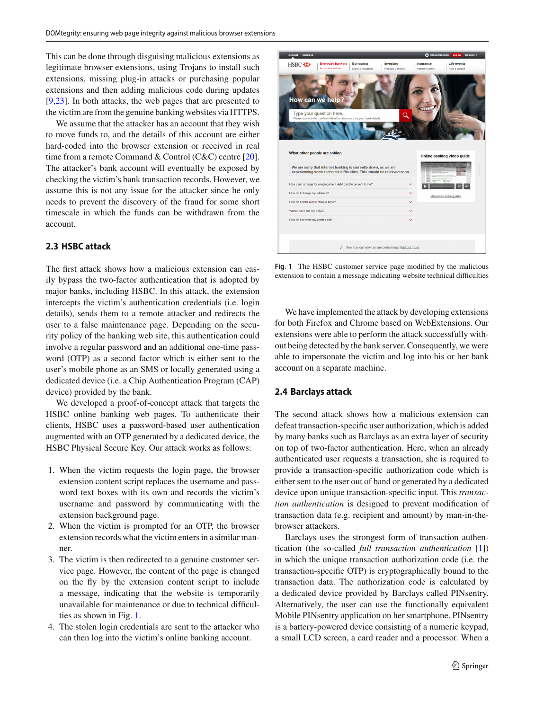This can be done through disguising malicious extensions as legitimate browser extensions, using Trojans to install such extensions, missing plug-in attacks or purchasing popular extensions and then adding malicious code during updates [\[9](#page-14-2)[,23\]](#page-14-11). In both attacks, the web pages that are presented to the victim are from the genuine banking websites via HTTPS.

We assume that the attacker has an account that they wish to move funds to, and the details of this account are either hard-coded into the browser extension or received in real time from a remote Command & Control (C&C) centre [\[20](#page-14-12)]. The attacker's bank account will eventually be exposed by checking the victim's bank transaction records. However, we assume this is not any issue for the attacker since he only needs to prevent the discovery of the fraud for some short timescale in which the funds can be withdrawn from the account.

## **2.3 HSBC attack**

The first attack shows how a malicious extension can easily bypass the two-factor authentication that is adopted by major banks, including HSBC. In this attack, the extension intercepts the victim's authentication credentials (i.e. login details), sends them to a remote attacker and redirects the user to a false maintenance page. Depending on the security policy of the banking web site, this authentication could involve a regular password and an additional one-time password (OTP) as a second factor which is either sent to the user's mobile phone as an SMS or locally generated using a dedicated device (i.e. a Chip Authentication Program (CAP) device) provided by the bank.

We developed a proof-of-concept attack that targets the HSBC online banking web pages. To authenticate their clients, HSBC uses a password-based user authentication augmented with an OTP generated by a dedicated device, the HSBC Physical Secure Key. Our attack works as follows:

- 1. When the victim requests the login page, the browser extension content script replaces the username and password text boxes with its own and records the victim's username and password by communicating with the extension background page.
- 2. When the victim is prompted for an OTP, the browser extension records what the victim enters in a similar manner.
- 3. The victim is then redirected to a genuine customer service page. However, the content of the page is changed on the fly by the extension content script to include a message, indicating that the website is temporarily unavailable for maintenance or due to technical difficulties as shown in Fig. [1.](#page-3-0)
- 4. The stolen login credentials are sent to the attacker who can then log into the victim's online banking account.



**Fig. 1** The HSBC customer service page modified by the malicious extension to contain a message indicating website technical difficulties

<span id="page-3-0"></span>We have implemented the attack by developing extensions for both Firefox and Chrome based on WebExtensions. Our extensions were able to perform the attack successfully without being detected by the bank server. Consequently, we were able to impersonate the victim and log into his or her bank account on a separate machine.

## **2.4 Barclays attack**

The second attack shows how a malicious extension can defeat transaction-specific user authorization, which is added by many banks such as Barclays as an extra layer of security on top of two-factor authentication. Here, when an already authenticated user requests a transaction, she is required to provide a transaction-specific authorization code which is either sent to the user out of band or generated by a dedicated device upon unique transaction-specific input. This *transaction authentication* is designed to prevent modification of transaction data (e.g. recipient and amount) by man-in-thebrowser attackers.

Barclays uses the strongest form of transaction authentication (the so-called *full transaction authentication* [\[1\]](#page-13-2)) in which the unique transaction authorization code (i.e. the transaction-specific OTP) is cryptographically bound to the transaction data. The authorization code is calculated by a dedicated device provided by Barclays called PINsentry. Alternatively, the user can use the functionally equivalent Mobile PINsentry application on her smartphone. PINsentry is a battery-powered device consisting of a numeric keypad, a small LCD screen, a card reader and a processor. When a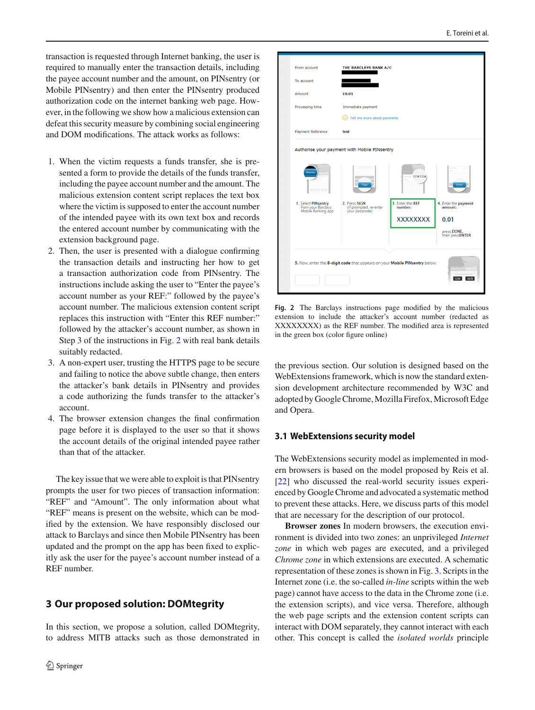transaction is requested through Internet banking, the user is required to manually enter the transaction details, including the payee account number and the amount, on PINsentry (or Mobile PINsentry) and then enter the PINsentry produced authorization code on the internet banking web page. However, in the following we show how a malicious extension can defeat this security measure by combining social engineering and DOM modifications. The attack works as follows:

- 1. When the victim requests a funds transfer, she is presented a form to provide the details of the funds transfer, including the payee account number and the amount. The malicious extension content script replaces the text box where the victim is supposed to enter the account number of the intended payee with its own text box and records the entered account number by communicating with the extension background page.
- 2. Then, the user is presented with a dialogue confirming the transaction details and instructing her how to get a transaction authorization code from PINsentry. The instructions include asking the user to "Enter the payee's account number as your REF:" followed by the payee's account number. The malicious extension content script replaces this instruction with "Enter this REF number:" followed by the attacker's account number, as shown in Step 3 of the instructions in Fig. [2](#page-4-0) with real bank details suitably redacted.
- 3. A non-expert user, trusting the HTTPS page to be secure and failing to notice the above subtle change, then enters the attacker's bank details in PINsentry and provides a code authorizing the funds transfer to the attacker's account.
- 4. The browser extension changes the final confirmation page before it is displayed to the user so that it shows the account details of the original intended payee rather than that of the attacker.

The key issue that we were able to exploit is that PINsentry prompts the user for two pieces of transaction information: "REF" and "Amount". The only information about what "REF" means is present on the website, which can be modified by the extension. We have responsibly disclosed our attack to Barclays and since then Mobile PINsentry has been updated and the prompt on the app has been fixed to explicitly ask the user for the payee's account number instead of a REF number.

# **3 Our proposed solution: DOMtegrity**

In this section, we propose a solution, called DOMtegrity, to address MITB attacks such as those demonstrated in



<span id="page-4-0"></span>**Fig. 2** The Barclays instructions page modified by the malicious extension to include the attacker's account number (redacted as XXXXXXXX) as the REF number. The modified area is represented in the green box (color figure online)

the previous section. Our solution is designed based on the WebExtensions framework, which is now the standard extension development architecture recommended by W3C and adopted by Google Chrome, Mozilla Firefox, Microsoft Edge and Opera.

## **3.1 WebExtensions security model**

The WebExtensions security model as implemented in modern browsers is based on the model proposed by Reis et al. [\[22](#page-14-13)] who discussed the real-world security issues experienced by Google Chrome and advocated a systematic method to prevent these attacks. Here, we discuss parts of this model that are necessary for the description of our protocol.

**Browser zones** In modern browsers, the execution environment is divided into two zones: an unprivileged *Internet zone* in which web pages are executed, and a privileged *Chrome zone* in which extensions are executed. A schematic representation of these zones is shown in Fig. [3.](#page-5-0) Scripts in the Internet zone (i.e. the so-called *in-line* scripts within the web page) cannot have access to the data in the Chrome zone (i.e. the extension scripts), and vice versa. Therefore, although the web page scripts and the extension content scripts can interact with DOM separately, they cannot interact with each other. This concept is called the *isolated worlds* principle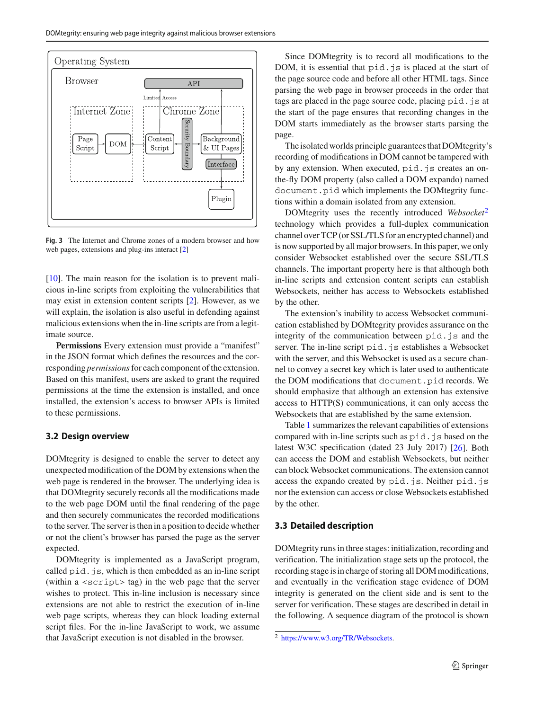

<span id="page-5-0"></span>**Fig. 3** The Internet and Chrome zones of a modern browser and how web pages, extensions and plug-ins interact [\[2](#page-13-3)]

 $[10]$  $[10]$ . The main reason for the isolation is to prevent malicious in-line scripts from exploiting the vulnerabilities that may exist in extension content scripts [\[2\]](#page-13-3). However, as we will explain, the isolation is also useful in defending against malicious extensions when the in-line scripts are from a legitimate source.

**Permissions** Every extension must provide a "manifest" in the JSON format which defines the resources and the corresponding *permissions*for each component of the extension. Based on this manifest, users are asked to grant the required permissions at the time the extension is installed, and once installed, the extension's access to browser APIs is limited to these permissions.

#### **3.2 Design overview**

DOMtegrity is designed to enable the server to detect any unexpected modification of the DOM by extensions when the web page is rendered in the browser. The underlying idea is that DOMtegrity securely records all the modifications made to the web page DOM until the final rendering of the page and then securely communicates the recorded modifications to the server. The server is then in a position to decide whether or not the client's browser has parsed the page as the server expected.

DOMtegrity is implemented as a JavaScript program, called pid.js, which is then embedded as an in-line script (within a <script> tag) in the web page that the server wishes to protect. This in-line inclusion is necessary since extensions are not able to restrict the execution of in-line web page scripts, whereas they can block loading external script files. For the in-line JavaScript to work, we assume that JavaScript execution is not disabled in the browser.

Since DOMtegrity is to record all modifications to the DOM, it is essential that pid.js is placed at the start of the page source code and before all other HTML tags. Since parsing the web page in browser proceeds in the order that tags are placed in the page source code, placing  $pid.$ js at the start of the page ensures that recording changes in the DOM starts immediately as the browser starts parsing the page.

The isolated worlds principle guarantees that DOMtegrity's recording of modifications in DOM cannot be tampered with by any extension. When executed, pid.js creates an onthe-fly DOM property (also called a DOM expando) named document.pid which implements the DOMtegrity functions within a domain isolated from any extension.

DOMtegrity uses the recently introduced *Websocket*<sup>[2](#page-5-1)</sup> technology which provides a full-duplex communication channel over TCP (or SSL/TLS for an encrypted channel) and is now supported by all major browsers. In this paper, we only consider Websocket established over the secure SSL/TLS channels. The important property here is that although both in-line scripts and extension content scripts can establish Websockets, neither has access to Websockets established by the other.

The extension's inability to access Websocket communication established by DOMtegrity provides assurance on the integrity of the communication between pid.js and the server. The in-line script pid.js establishes a Websocket with the server, and this Websocket is used as a secure channel to convey a secret key which is later used to authenticate the DOM modifications that document.pid records. We should emphasize that although an extension has extensive access to HTTP(S) communications, it can only access the Websockets that are established by the same extension.

Table [1](#page-6-0) summarizes the relevant capabilities of extensions compared with in-line scripts such as  $pid$ , is based on the latest W3C specification (dated 23 July 2017) [\[26](#page-14-10)]. Both can access the DOM and establish Websockets, but neither can block Websocket communications. The extension cannot access the expando created by pid.js. Neither pid.js nor the extension can access or close Websockets established by the other.

## **3.3 Detailed description**

DOMtegrity runs in three stages: initialization, recording and verification. The initialization stage sets up the protocol, the recording stage is in charge of storing all DOM modifications, and eventually in the verification stage evidence of DOM integrity is generated on the client side and is sent to the server for verification. These stages are described in detail in the following. A sequence diagram of the protocol is shown

<span id="page-5-1"></span><sup>2</sup> [https://www.w3.org/TR/Websockets.](https://www.w3.org/TR/Websockets)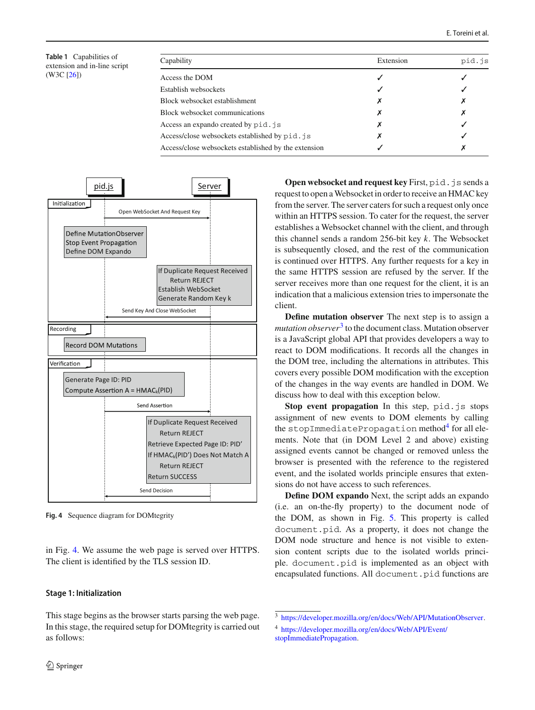<span id="page-6-0"></span>**Table 1** Capabilities of extension and in-line script (W3C [\[26](#page-14-10)])

| Capability                                           | Extension | pid.js |
|------------------------------------------------------|-----------|--------|
| Access the DOM                                       |           |        |
| Establish websockets                                 |           |        |
| Block websocket establishment                        | Х         |        |
| Block websocket communications                       | Х         | х      |
| Access an expando created by pid. is                 | х         |        |
| Access/close websockets established by pid. is       |           |        |
| Access/close websockets established by the extension |           | х      |



<span id="page-6-1"></span>**Fig. 4** Sequence diagram for DOMtegrity

in Fig. [4.](#page-6-1) We assume the web page is served over HTTPS. The client is identified by the TLS session ID.

#### **Stage 1: Initialization**

This stage begins as the browser starts parsing the web page. In this stage, the required setup for DOMtegrity is carried out as follows:

**Open websocket and request key** First, pid. js sends a request to open a Websocket in order to receive an HMAC key from the server. The server caters for such a request only once within an HTTPS session. To cater for the request, the server establishes a Websocket channel with the client, and through this channel sends a random 256-bit key *k*. The Websocket is subsequently closed, and the rest of the communication is continued over HTTPS. Any further requests for a key in the same HTTPS session are refused by the server. If the server receives more than one request for the client, it is an indication that a malicious extension tries to impersonate the client.

**Define mutation observer** The next step is to assign a mutation observer<sup>[3](#page-6-2)</sup> to the document class. Mutation observer is a JavaScript global API that provides developers a way to react to DOM modifications. It records all the changes in the DOM tree, including the alternations in attributes. This covers every possible DOM modification with the exception of the changes in the way events are handled in DOM. We discuss how to deal with this exception below.

**Stop event propagation** In this step, pid.js stops assignment of new events to DOM elements by calling the stopImmediatePropagation method<sup>[4](#page-6-3)</sup> for all elements. Note that (in DOM Level 2 and above) existing assigned events cannot be changed or removed unless the browser is presented with the reference to the registered event, and the isolated worlds principle ensures that extensions do not have access to such references.

**Define DOM expando** Next, the script adds an expando (i.e. an on-the-fly property) to the document node of the DOM, as shown in Fig. [5.](#page-7-0) This property is called document.pid. As a property, it does not change the DOM node structure and hence is not visible to extension content scripts due to the isolated worlds principle. document.pid is implemented as an object with encapsulated functions. All document.pid functions are

<sup>3</sup> [https://developer.mozilla.org/en/docs/Web/API/MutationObserver.](https://developer.mozilla.org/en/docs/Web/API/MutationObserver)

<span id="page-6-3"></span><span id="page-6-2"></span><sup>4</sup> [https://developer.mozilla.org/en/docs/Web/API/Event/](https://developer.mozilla.org/en/docs/Web/API/Event/stopImmediatePropagation) [stopImmediatePropagation.](https://developer.mozilla.org/en/docs/Web/API/Event/stopImmediatePropagation)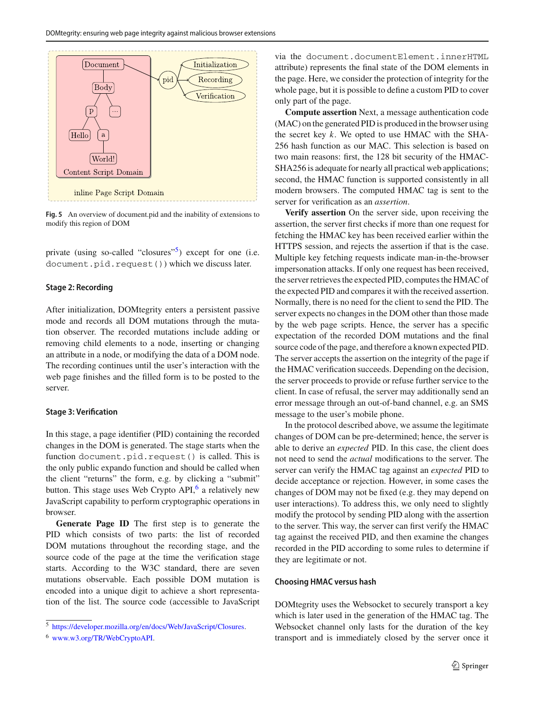

<span id="page-7-0"></span>**Fig. 5** An overview of document.pid and the inability of extensions to modify this region of DOM

private (using so-called "closures"<sup>[5](#page-7-1)</sup>) except for one (i.e. document.pid.request()) which we discuss later.

#### **Stage 2: Recording**

After initialization, DOMtegrity enters a persistent passive mode and records all DOM mutations through the mutation observer. The recorded mutations include adding or removing child elements to a node, inserting or changing an attribute in a node, or modifying the data of a DOM node. The recording continues until the user's interaction with the web page finishes and the filled form is to be posted to the server.

#### **Stage 3: Verification**

In this stage, a page identifier (PID) containing the recorded changes in the DOM is generated. The stage starts when the function document.pid.request() is called. This is the only public expando function and should be called when the client "returns" the form, e.g. by clicking a "submit" button. This stage uses Web Crypto API,<sup>[6](#page-7-2)</sup> a relatively new JavaScript capability to perform cryptographic operations in browser.

**Generate Page ID** The first step is to generate the PID which consists of two parts: the list of recorded DOM mutations throughout the recording stage, and the source code of the page at the time the verification stage starts. According to the W3C standard, there are seven mutations observable. Each possible DOM mutation is encoded into a unique digit to achieve a short representation of the list. The source code (accessible to JavaScript via the document.documentElement.innerHTML attribute) represents the final state of the DOM elements in the page. Here, we consider the protection of integrity for the whole page, but it is possible to define a custom PID to cover only part of the page.

**Compute assertion** Next, a message authentication code (MAC) on the generated PID is produced in the browser using the secret key *k*. We opted to use HMAC with the SHA-256 hash function as our MAC. This selection is based on two main reasons: first, the 128 bit security of the HMAC-SHA256 is adequate for nearly all practical web applications; second, the HMAC function is supported consistently in all modern browsers. The computed HMAC tag is sent to the server for verification as an *assertion*.

**Verify assertion** On the server side, upon receiving the assertion, the server first checks if more than one request for fetching the HMAC key has been received earlier within the HTTPS session, and rejects the assertion if that is the case. Multiple key fetching requests indicate man-in-the-browser impersonation attacks. If only one request has been received, the server retrieves the expected PID, computes the HMAC of the expected PID and compares it with the received assertion. Normally, there is no need for the client to send the PID. The server expects no changes in the DOM other than those made by the web page scripts. Hence, the server has a specific expectation of the recorded DOM mutations and the final source code of the page, and therefore a known expected PID. The server accepts the assertion on the integrity of the page if the HMAC verification succeeds. Depending on the decision, the server proceeds to provide or refuse further service to the client. In case of refusal, the server may additionally send an error message through an out-of-band channel, e.g. an SMS message to the user's mobile phone.

In the protocol described above, we assume the legitimate changes of DOM can be pre-determined; hence, the server is able to derive an *expected* PID. In this case, the client does not need to send the *actual* modifications to the server. The server can verify the HMAC tag against an *expected* PID to decide acceptance or rejection. However, in some cases the changes of DOM may not be fixed (e.g. they may depend on user interactions). To address this, we only need to slightly modify the protocol by sending PID along with the assertion to the server. This way, the server can first verify the HMAC tag against the received PID, and then examine the changes recorded in the PID according to some rules to determine if they are legitimate or not.

#### **Choosing HMAC versus hash**

DOMtegrity uses the Websocket to securely transport a key which is later used in the generation of the HMAC tag. The Websocket channel only lasts for the duration of the key transport and is immediately closed by the server once it

<sup>5</sup> [https://developer.mozilla.org/en/docs/Web/JavaScript/Closures.](https://developer.mozilla.org/en/docs/Web/JavaScript/Closures)

<span id="page-7-2"></span><span id="page-7-1"></span><sup>6</sup> [www.w3.org/TR/WebCryptoAPI.](www.w3.org/TR/WebCryptoAPI)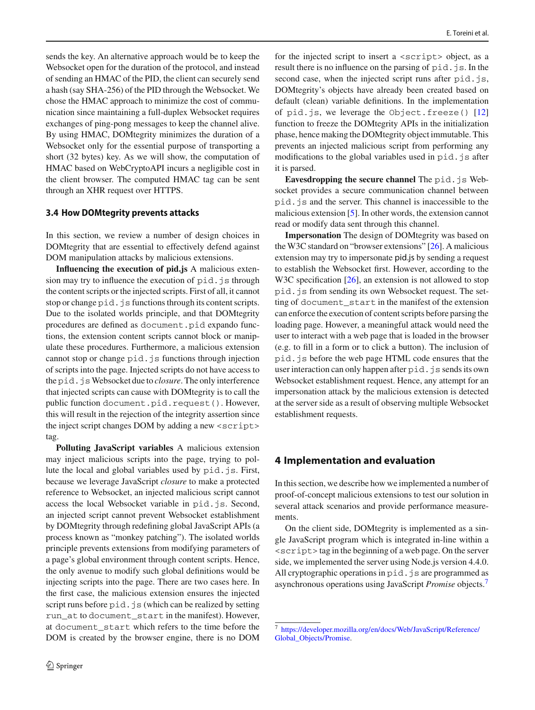sends the key. An alternative approach would be to keep the Websocket open for the duration of the protocol, and instead of sending an HMAC of the PID, the client can securely send a hash (say SHA-256) of the PID through the Websocket. We chose the HMAC approach to minimize the cost of communication since maintaining a full-duplex Websocket requires exchanges of ping-pong messages to keep the channel alive. By using HMAC, DOMtegrity minimizes the duration of a Websocket only for the essential purpose of transporting a short (32 bytes) key. As we will show, the computation of HMAC based on WebCryptoAPI incurs a negligible cost in the client browser. The computed HMAC tag can be sent through an XHR request over HTTPS.

#### **3.4 How DOMtegrity prevents attacks**

In this section, we review a number of design choices in DOMtegrity that are essential to effectively defend against DOM manipulation attacks by malicious extensions.

**Influencing the execution of pid.js** A malicious extension may try to influence the execution of  $pid$ , js through the content scripts or the injected scripts. First of all, it cannot stop or change pid. js functions through its content scripts. Due to the isolated worlds principle, and that DOMtegrity procedures are defined as document.pid expando functions, the extension content scripts cannot block or manipulate these procedures. Furthermore, a malicious extension cannot stop or change pid.js functions through injection of scripts into the page. Injected scripts do not have access to the pid.jsWebsocket due to *closure*. The only interference that injected scripts can cause with DOMtegrity is to call the public function document.pid.request(). However, this will result in the rejection of the integrity assertion since the inject script changes DOM by adding a new <script> tag.

**Polluting JavaScript variables** A malicious extension may inject malicious scripts into the page, trying to pollute the local and global variables used by pid.js. First, because we leverage JavaScript *closure* to make a protected reference to Websocket, an injected malicious script cannot access the local Websocket variable in pid.js. Second, an injected script cannot prevent Websocket establishment by DOMtegrity through redefining global JavaScript APIs (a process known as "monkey patching"). The isolated worlds principle prevents extensions from modifying parameters of a page's global environment through content scripts. Hence, the only avenue to modify such global definitions would be injecting scripts into the page. There are two cases here. In the first case, the malicious extension ensures the injected script runs before  $pid$ . js (which can be realized by setting run\_at to document\_start in the manifest). However, at document\_start which refers to the time before the DOM is created by the browser engine, there is no DOM for the injected script to insert a  $\leq$ script bolject, as a result there is no influence on the parsing of pid.js. In the second case, when the injected script runs after pid.js, DOMtegrity's objects have already been created based on default (clean) variable definitions. In the implementation of pid.js, we leverage the Object.freeze() [\[12\]](#page-14-15) function to freeze the DOMtegrity APIs in the initialization phase, hence making the DOMtegrity object immutable. This prevents an injected malicious script from performing any modifications to the global variables used in pid.js after it is parsed.

**Eavesdropping the secure channel** The pid.js Websocket provides a secure communication channel between pid.js and the server. This channel is inaccessible to the malicious extension [\[5\]](#page-13-4). In other words, the extension cannot read or modify data sent through this channel.

**Impersonation** The design of DOMtegrity was based on the W3C standard on "browser extensions" [\[26](#page-14-10)]. A malicious extension may try to impersonate pid.js by sending a request to establish the Websocket first. However, according to the W3C specification [\[26](#page-14-10)], an extension is not allowed to stop pid.js from sending its own Websocket request. The setting of document\_start in the manifest of the extension can enforce the execution of content scripts before parsing the loading page. However, a meaningful attack would need the user to interact with a web page that is loaded in the browser (e.g. to fill in a form or to click a button). The inclusion of pid.js before the web page HTML code ensures that the user interaction can only happen after pid.js sends its own Websocket establishment request. Hence, any attempt for an impersonation attack by the malicious extension is detected at the server side as a result of observing multiple Websocket establishment requests.

## **4 Implementation and evaluation**

In this section, we describe how we implemented a number of proof-of-concept malicious extensions to test our solution in several attack scenarios and provide performance measurements.

On the client side, DOMtegrity is implemented as a single JavaScript program which is integrated in-line within a  $\leq$ script $>$  tag in the beginning of a web page. On the server side, we implemented the server using Node.js version 4.4.0. All cryptographic operations in pid.js are programmed as asynchronous operations using JavaScript *Promise* objects.[7](#page-8-0)

<span id="page-8-0"></span><sup>7</sup> [https://developer.mozilla.org/en/docs/Web/JavaScript/Reference/](https://developer.mozilla.org/en/docs/Web/JavaScript/Reference/Global_Objects/Promise) Global Objects/Promise.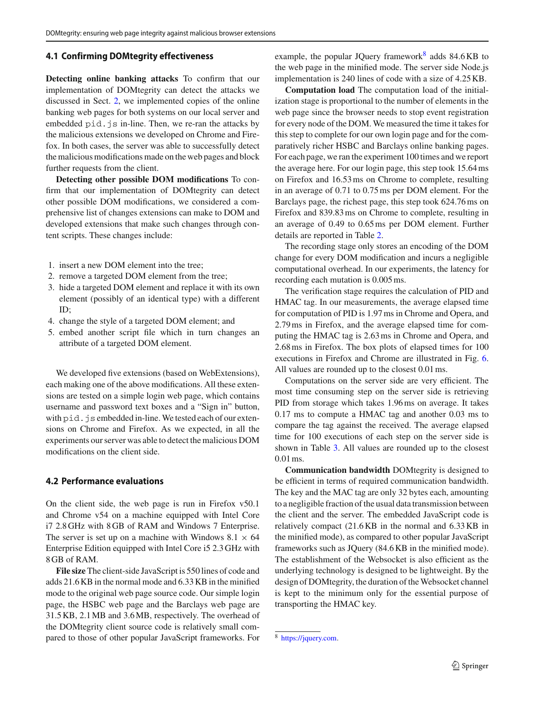#### **4.1 Confirming DOMtegrity effectiveness**

**Detecting online banking attacks** To confirm that our implementation of DOMtegrity can detect the attacks we discussed in Sect. [2,](#page-2-0) we implemented copies of the online banking web pages for both systems on our local server and embedded  $pid.$  js in-line. Then, we re-ran the attacks by the malicious extensions we developed on Chrome and Firefox. In both cases, the server was able to successfully detect the malicious modifications made on the web pages and block further requests from the client.

**Detecting other possible DOM modifications** To confirm that our implementation of DOMtegrity can detect other possible DOM modifications, we considered a comprehensive list of changes extensions can make to DOM and developed extensions that make such changes through content scripts. These changes include:

- 1. insert a new DOM element into the tree;
- 2. remove a targeted DOM element from the tree;
- 3. hide a targeted DOM element and replace it with its own element (possibly of an identical type) with a different ID;
- 4. change the style of a targeted DOM element; and
- 5. embed another script file which in turn changes an attribute of a targeted DOM element.

We developed five extensions (based on WebExtensions), each making one of the above modifications. All these extensions are tested on a simple login web page, which contains username and password text boxes and a "Sign in" button, with pid. js embedded in-line. We tested each of our extensions on Chrome and Firefox. As we expected, in all the experiments our server was able to detect the malicious DOM modifications on the client side.

## **4.2 Performance evaluations**

On the client side, the web page is run in Firefox v50.1 and Chrome v54 on a machine equipped with Intel Core i7 2.8 GHz with 8 GB of RAM and Windows 7 Enterprise. The server is set up on a machine with Windows  $8.1 \times 64$ Enterprise Edition equipped with Intel Core i5 2.3 GHz with 8 GB of RAM.

**File size** The client-side JavaScript is 550 lines of code and adds 21.6 KB in the normal mode and 6.33 KB in the minified mode to the original web page source code. Our simple login page, the HSBC web page and the Barclays web page are 31.5 KB, 2.1 MB and 3.6 MB, respectively. The overhead of the DOMtegrity client source code is relatively small compared to those of other popular JavaScript frameworks. For

example, the popular JQuery framework<sup>[8](#page-9-0)</sup> adds 84.6KB to the web page in the minified mode. The server side Node.js implementation is 240 lines of code with a size of 4.25 KB.

**Computation load** The computation load of the initialization stage is proportional to the number of elements in the web page since the browser needs to stop event registration for every node of the DOM. We measured the time it takes for this step to complete for our own login page and for the comparatively richer HSBC and Barclays online banking pages. For each page, we ran the experiment 100 times and we report the average here. For our login page, this step took 15.64 ms on Firefox and 16.53 ms on Chrome to complete, resulting in an average of 0.71 to 0.75 ms per DOM element. For the Barclays page, the richest page, this step took 624.76 ms on Firefox and 839.83 ms on Chrome to complete, resulting in an average of 0.49 to 0.65 ms per DOM element. Further details are reported in Table [2.](#page-10-0)

The recording stage only stores an encoding of the DOM change for every DOM modification and incurs a negligible computational overhead. In our experiments, the latency for recording each mutation is 0.005 ms.

The verification stage requires the calculation of PID and HMAC tag. In our measurements, the average elapsed time for computation of PID is 1.97 ms in Chrome and Opera, and 2.79 ms in Firefox, and the average elapsed time for computing the HMAC tag is 2.63 ms in Chrome and Opera, and 2.68 ms in Firefox. The box plots of elapsed times for 100 executions in Firefox and Chrome are illustrated in Fig. [6.](#page-10-1) All values are rounded up to the closest 0.01 ms.

Computations on the server side are very efficient. The most time consuming step on the server side is retrieving PID from storage which takes 1.96 ms on average. It takes 0.17 ms to compute a HMAC tag and another 0.03 ms to compare the tag against the received. The average elapsed time for 100 executions of each step on the server side is shown in Table [3.](#page-10-2) All values are rounded up to the closest 0.01 ms.

**Communication bandwidth** DOMtegrity is designed to be efficient in terms of required communication bandwidth. The key and the MAC tag are only 32 bytes each, amounting to a negligible fraction of the usual data transmission between the client and the server. The embedded JavaScript code is relatively compact (21.6 KB in the normal and 6.33 KB in the minified mode), as compared to other popular JavaScript frameworks such as JQuery (84.6 KB in the minified mode). The establishment of the Websocket is also efficient as the underlying technology is designed to be lightweight. By the design of DOMtegrity, the duration of the Websocket channel is kept to the minimum only for the essential purpose of transporting the HMAC key.

<span id="page-9-0"></span><sup>8</sup> [https://jquery.com.](https://jquery.com)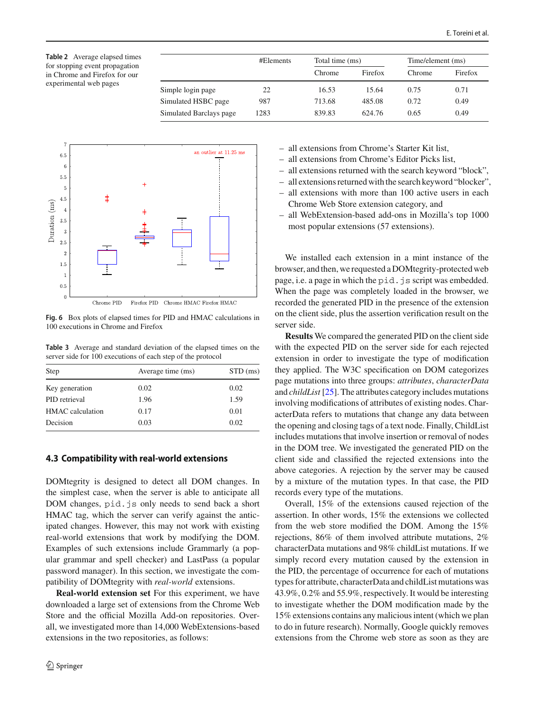<span id="page-10-0"></span>**Table 2** Average elapsed times for stopping event propagation in Chrome and Firefox for our experimental web pages

|                         | #Elements | Total time (ms) |         | Time/element (ms) |         |
|-------------------------|-----------|-----------------|---------|-------------------|---------|
|                         |           | Chrome          | Firefox | Chrome            | Firefox |
| Simple login page       | 22        | 16.53           | 15.64   | 0.75              | 0.71    |
| Simulated HSBC page     | 987       | 713.68          | 485.08  | 0.72              | 0.49    |
| Simulated Barclays page | 1283      | 839.83          | 624.76  | 0.65              | 0.49    |



Chrome PID Firefox PID Chrome HMAC Firefox HMAC

<span id="page-10-1"></span>**Fig. 6** Box plots of elapsed times for PID and HMAC calculations in 100 executions in Chrome and Firefox

<span id="page-10-2"></span>**Table 3** Average and standard deviation of the elapsed times on the server side for 100 executions of each step of the protocol

| Step                    | Average time (ms) | $STD$ (ms) |  |
|-------------------------|-------------------|------------|--|
| Key generation          | 0.02              | 0.02       |  |
| PID retrieval           | 1.96              | 1.59       |  |
| <b>HMAC</b> calculation | 0.17              | 0.01       |  |
| Decision                | 0.03              | 0.02       |  |
|                         |                   |            |  |

#### **4.3 Compatibility with real-world extensions**

DOMtegrity is designed to detect all DOM changes. In the simplest case, when the server is able to anticipate all DOM changes, pid.js only needs to send back a short HMAC tag, which the server can verify against the anticipated changes. However, this may not work with existing real-world extensions that work by modifying the DOM. Examples of such extensions include Grammarly (a popular grammar and spell checker) and LastPass (a popular password manager). In this section, we investigate the compatibility of DOMtegrity with *real-world* extensions.

**Real-world extension set** For this experiment, we have downloaded a large set of extensions from the Chrome Web Store and the official Mozilla Add-on repositories. Overall, we investigated more than 14,000 WebExtensions-based extensions in the two repositories, as follows:

- all extensions from Chrome's Starter Kit list,
- all extensions from Chrome's Editor Picks list,
- all extensions returned with the search keyword "block",
- all extensions returned with the search keyword "blocker",
- all extensions with more than 100 active users in each Chrome Web Store extension category, and
- all WebExtension-based add-ons in Mozilla's top 1000 most popular extensions (57 extensions).

We installed each extension in a mint instance of the browser, and then, we requested a DOMtegrity-protected web page, i.e. a page in which the pid. js script was embedded. When the page was completely loaded in the browser, we recorded the generated PID in the presence of the extension on the client side, plus the assertion verification result on the server side.

**Results** We compared the generated PID on the client side with the expected PID on the server side for each rejected extension in order to investigate the type of modification they applied. The W3C specification on DOM categorizes page mutations into three groups: *attributes*, *characterData* and *childList* [\[25\]](#page-14-16). The attributes category includes mutations involving modifications of attributes of existing nodes. CharacterData refers to mutations that change any data between the opening and closing tags of a text node. Finally, ChildList includes mutations that involve insertion or removal of nodes in the DOM tree. We investigated the generated PID on the client side and classified the rejected extensions into the above categories. A rejection by the server may be caused by a mixture of the mutation types. In that case, the PID records every type of the mutations.

Overall, 15% of the extensions caused rejection of the assertion. In other words, 15% the extensions we collected from the web store modified the DOM. Among the 15% rejections, 86% of them involved attribute mutations, 2% characterData mutations and 98% childList mutations. If we simply record every mutation caused by the extension in the PID, the percentage of occurrence for each of mutations types for attribute, characterData and childList mutations was 43.9%, 0.2% and 55.9%, respectively. It would be interesting to investigate whether the DOM modification made by the 15% extensions contains any malicious intent (which we plan to do in future research). Normally, Google quickly removes extensions from the Chrome web store as soon as they are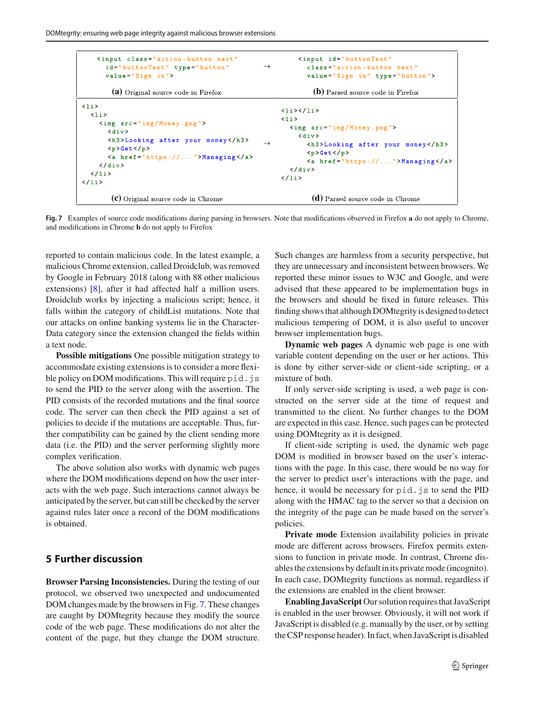| <input <br="" class="action-button next"/> id="buttonTest" type="button"<br>value="Sign in"><br>(a) Original source code in Firefox                                                                                                                                                         | <input <br="" id="buttonTest"/> class="action-button next"<br>$\rightarrow$<br>value="Sign in" type="button"><br>(b) Parsed source code in Firefox                                                                                                              |
|---------------------------------------------------------------------------------------------------------------------------------------------------------------------------------------------------------------------------------------------------------------------------------------------|-----------------------------------------------------------------------------------------------------------------------------------------------------------------------------------------------------------------------------------------------------------------|
| $\langle$ li $\rangle$<br>$\langle$ li><br>$\frac{1}{2}$ src="img/Money.png"><br>$\langle \text{div} \rangle$<br>$\langle h3 \rangle$ Looking after your money $\langle h3 \rangle$<br>< p > Get<br>$\alpha$ href="https://">Managing<br>$\langle$ div><br>$\langle$ /li><br>$\langle$ /li> | $\langle$ li> $\langle$ li><br>$\langle$ li><br>$\frac{1}{2}$ src="img/Money.png"><br>$\langle \text{div} \rangle$<br>$\rightarrow$<br><h3>Looking after your money</h3><br>< p > Get<br>$\alpha$ href="https://">Managing<br>$\langle$ /div><br>$\langle$ /li> |
| (c) Original source code in Chrome                                                                                                                                                                                                                                                          | (d) Parsed source code in Chrome                                                                                                                                                                                                                                |

<span id="page-11-0"></span>**Fig. 7** Examples of source code modifications during parsing in browsers. Note that modifications observed in Firefox **a** do not apply to Chrome, and modifications in Chrome **b** do not apply to Firefox

reported to contain malicious code. In the latest example, a malicious Chrome extension, called Droidclub, was removed by Google in February 2018 (along with 88 other malicious extensions) [\[8\]](#page-14-17), after it had affected half a million users. Droidclub works by injecting a malicious script; hence, it falls within the category of childList mutations. Note that our attacks on online banking systems lie in the Character-Data category since the extension changed the fields within a text node.

**Possible mitigations** One possible mitigation strategy to accommodate existing extensions is to consider a more flexible policy on DOM modifications. This will require  $pid$ . js to send the PID to the server along with the assertion. The PID consists of the recorded mutations and the final source code. The server can then check the PID against a set of policies to decide if the mutations are acceptable. Thus, further compatibility can be gained by the client sending more data (i.e. the PID) and the server performing slightly more complex verification.

The above solution also works with dynamic web pages where the DOM modifications depend on how the user interacts with the web page. Such interactions cannot always be anticipated by the server, but can still be checked by the server against rules later once a record of the DOM modifications is obtained.

# **5 Further discussion**

**Browser Parsing Inconsistencies.** During the testing of our protocol, we observed two unexpected and undocumented DOM changes made by the browsers in Fig. [7.](#page-11-0) These changes are caught by DOMtegrity because they modify the source code of the web page. These modifications do not alter the content of the page, but they change the DOM structure. Such changes are harmless from a security perspective, but they are unnecessary and inconsistent between browsers. We reported these minor issues to W3C and Google, and were advised that these appeared to be implementation bugs in the browsers and should be fixed in future releases. This finding shows that although DOMtegrity is designed to detect malicious tempering of DOM, it is also useful to uncover browser implementation bugs.

**Dynamic web pages** A dynamic web page is one with variable content depending on the user or her actions. This is done by either server-side or client-side scripting, or a mixture of both.

If only server-side scripting is used, a web page is constructed on the server side at the time of request and transmitted to the client. No further changes to the DOM are expected in this case. Hence, such pages can be protected using DOMtegrity as it is designed.

If client-side scripting is used, the dynamic web page DOM is modified in browser based on the user's interactions with the page. In this case, there would be no way for the server to predict user's interactions with the page, and hence, it would be necessary for pid.js to send the PID along with the HMAC tag to the server so that a decision on the integrity of the page can be made based on the server's policies.

**Private mode** Extension availability policies in private mode are different across browsers. Firefox permits extensions to function in private mode. In contrast, Chrome disables the extensions by default in its private mode (incognito). In each case, DOMtegrity functions as normal, regardless if the extensions are enabled in the client browser.

**Enabling JavaScript** Our solution requires that JavaScript is enabled in the user browser. Obviously, it will not work if JavaScript is disabled (e.g. manually by the user, or by setting the CSP response header). In fact, when JavaScript is disabled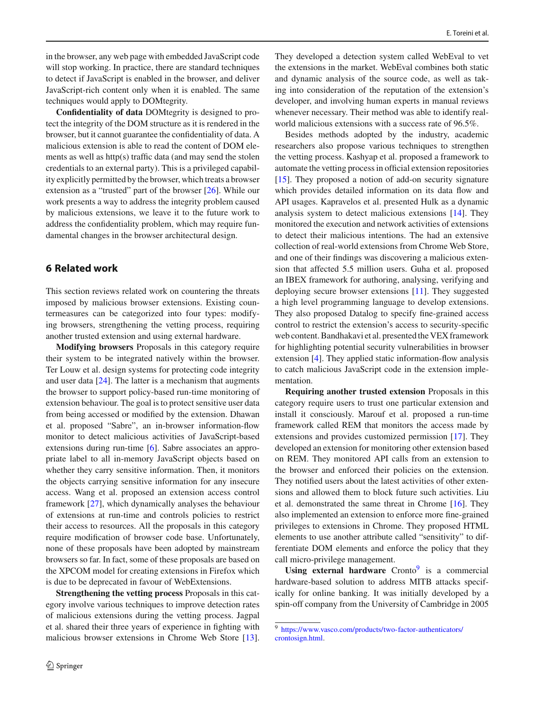in the browser, any web page with embedded JavaScript code will stop working. In practice, there are standard techniques to detect if JavaScript is enabled in the browser, and deliver JavaScript-rich content only when it is enabled. The same techniques would apply to DOMtegrity.

**Confidentiality of data** DOMtegrity is designed to protect the integrity of the DOM structure as it is rendered in the browser, but it cannot guarantee the confidentiality of data. A malicious extension is able to read the content of DOM elements as well as http(s) traffic data (and may send the stolen credentials to an external party). This is a privileged capability explicitly permitted by the browser, which treats a browser extension as a "trusted" part of the browser [\[26](#page-14-10)]. While our work presents a way to address the integrity problem caused by malicious extensions, we leave it to the future work to address the confidentiality problem, which may require fundamental changes in the browser architectural design.

# **6 Related work**

This section reviews related work on countering the threats imposed by malicious browser extensions. Existing countermeasures can be categorized into four types: modifying browsers, strengthening the vetting process, requiring another trusted extension and using external hardware.

**Modifying browsers** Proposals in this category require their system to be integrated natively within the browser. Ter Louw et al. design systems for protecting code integrity and user data [\[24\]](#page-14-3). The latter is a mechanism that augments the browser to support policy-based run-time monitoring of extension behaviour. The goal is to protect sensitive user data from being accessed or modified by the extension. Dhawan et al. proposed "Sabre", an in-browser information-flow monitor to detect malicious activities of JavaScript-based extensions during run-time [\[6\]](#page-13-0). Sabre associates an appropriate label to all in-memory JavaScript objects based on whether they carry sensitive information. Then, it monitors the objects carrying sensitive information for any insecure access. Wang et al. proposed an extension access control framework [\[27](#page-14-4)], which dynamically analyses the behaviour of extensions at run-time and controls policies to restrict their access to resources. All the proposals in this category require modification of browser code base. Unfortunately, none of these proposals have been adopted by mainstream browsers so far. In fact, some of these proposals are based on the XPCOM model for creating extensions in Firefox which is due to be deprecated in favour of WebExtensions.

**Strengthening the vetting process** Proposals in this category involve various techniques to improve detection rates of malicious extensions during the vetting process. Jagpal et al. shared their three years of experience in fighting with malicious browser extensions in Chrome Web Store [\[13](#page-14-1)].

They developed a detection system called WebEval to vet the extensions in the market. WebEval combines both static and dynamic analysis of the source code, as well as taking into consideration of the reputation of the extension's developer, and involving human experts in manual reviews whenever necessary. Their method was able to identify realworld malicious extensions with a success rate of 96.5%.

Besides methods adopted by the industry, academic researchers also propose various techniques to strengthen the vetting process. Kashyap et al. proposed a framework to automate the vetting process in official extension repositories [\[15](#page-14-6)]. They proposed a notion of add-on security signature which provides detailed information on its data flow and API usages. Kapravelos et al. presented Hulk as a dynamic analysis system to detect malicious extensions [\[14](#page-14-18)]. They monitored the execution and network activities of extensions to detect their malicious intentions. The had an extensive collection of real-world extensions from Chrome Web Store, and one of their findings was discovering a malicious extension that affected 5.5 million users. Guha et al. proposed an IBEX framework for authoring, analysing, verifying and deploying secure browser extensions [\[11](#page-14-5)]. They suggested a high level programming language to develop extensions. They also proposed Datalog to specify fine-grained access control to restrict the extension's access to security-specific web content. Bandhakavi et al. presented the VEX framework for highlighting potential security vulnerabilities in browser extension [\[4](#page-13-1)]. They applied static information-flow analysis to catch malicious JavaScript code in the extension implementation.

**Requiring another trusted extension** Proposals in this category require users to trust one particular extension and install it consciously. Marouf et al. proposed a run-time framework called REM that monitors the access made by extensions and provides customized permission [\[17\]](#page-14-8). They developed an extension for monitoring other extension based on REM. They monitored API calls from an extension to the browser and enforced their policies on the extension. They notified users about the latest activities of other extensions and allowed them to block future such activities. Liu et al. demonstrated the same threat in Chrome [\[16](#page-14-7)]. They also implemented an extension to enforce more fine-grained privileges to extensions in Chrome. They proposed HTML elements to use another attribute called "sensitivity" to differentiate DOM elements and enforce the policy that they call micro-privilege management.

Using external hardware Cronto<sup>[9](#page-12-0)</sup> is a commercial hardware-based solution to address MITB attacks specifically for online banking. It was initially developed by a spin-off company from the University of Cambridge in 2005

<span id="page-12-0"></span><sup>9</sup> [https://www.vasco.com/products/two-factor-authenticators/](https://www.vasco.com/products/two-factor-authenticators/crontosign.html) [crontosign.html.](https://www.vasco.com/products/two-factor-authenticators/crontosign.html)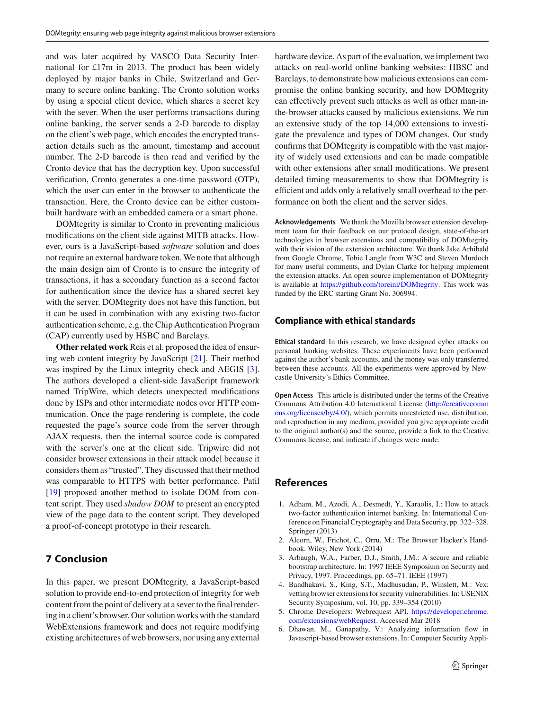and was later acquired by VASCO Data Security International for £17m in 2013. The product has been widely deployed by major banks in Chile, Switzerland and Germany to secure online banking. The Cronto solution works by using a special client device, which shares a secret key with the sever. When the user performs transactions during online banking, the server sends a 2-D barcode to display on the client's web page, which encodes the encrypted transaction details such as the amount, timestamp and account number. The 2-D barcode is then read and verified by the Cronto device that has the decryption key. Upon successful verification, Cronto generates a one-time password (OTP), which the user can enter in the browser to authenticate the transaction. Here, the Cronto device can be either custombuilt hardware with an embedded camera or a smart phone.

DOMtegrity is similar to Cronto in preventing malicious modifications on the client side against MITB attacks. However, ours is a JavaScript-based *software* solution and does not require an external hardware token. We note that although the main design aim of Cronto is to ensure the integrity of transactions, it has a secondary function as a second factor for authentication since the device has a shared secret key with the server. DOMtegrity does not have this function, but it can be used in combination with any existing two-factor authentication scheme, e.g. the Chip Authentication Program (CAP) currently used by HSBC and Barclays.

**Other related work** Reis et al. proposed the idea of ensuring web content integrity by JavaScript [\[21\]](#page-14-19). Their method was inspired by the Linux integrity check and AEGIS [\[3](#page-13-5)]. The authors developed a client-side JavaScript framework named TripWire, which detects unexpected modifications done by ISPs and other intermediate nodes over HTTP communication. Once the page rendering is complete, the code requested the page's source code from the server through AJAX requests, then the internal source code is compared with the server's one at the client side. Tripwire did not consider browser extensions in their attack model because it considers them as "trusted". They discussed that their method was comparable to HTTPS with better performance. Patil [\[19](#page-14-20)] proposed another method to isolate DOM from content script. They used *shadow DOM* to present an encrypted view of the page data to the content script. They developed a proof-of-concept prototype in their research.

# **7 Conclusion**

In this paper, we present DOMtegrity, a JavaScript-based solution to provide end-to-end protection of integrity for web content from the point of delivery at a sever to the final rendering in a client's browser. Our solution works with the standard WebExtensions framework and does not require modifying existing architectures of web browsers, nor using any external hardware device. As part of the evaluation, we implement two attacks on real-world online banking websites: HBSC and Barclays, to demonstrate how malicious extensions can compromise the online banking security, and how DOMtegrity can effectively prevent such attacks as well as other man-inthe-browser attacks caused by malicious extensions. We run an extensive study of the top 14,000 extensions to investigate the prevalence and types of DOM changes. Our study confirms that DOMtegrity is compatible with the vast majority of widely used extensions and can be made compatible with other extensions after small modifications. We present detailed timing measurements to show that DOMtegrity is efficient and adds only a relatively small overhead to the performance on both the client and the server sides.

**Acknowledgements** We thank the Mozilla browser extension development team for their feedback on our protocol design, state-of-the-art technologies in browser extensions and compatibility of DOMtegrity with their vision of the extension architecture. We thank Jake Arhibald from Google Chrome, Tobie Langle from W3C and Steven Murdoch for many useful comments, and Dylan Clarke for helping implement the extension attacks. An open source implementation of DOMtegrity is available at [https://github.com/toreini/DOMtegrity.](https://github.com/toreini/DOMtegrity) This work was funded by the ERC starting Grant No. 306994.

#### **Compliance with ethical standards**

**Ethical standard** In this research, we have designed cyber attacks on personal banking websites. These experiments have been performed against the author's bank accounts, and the money was only transferred between these accounts. All the experiments were approved by Newcastle University's Ethics Committee.

**Open Access** This article is distributed under the terms of the Creative Commons Attribution 4.0 International License [\(http://creativecomm](http://creativecommons.org/licenses/by/4.0/) [ons.org/licenses/by/4.0/\)](http://creativecommons.org/licenses/by/4.0/), which permits unrestricted use, distribution, and reproduction in any medium, provided you give appropriate credit to the original author(s) and the source, provide a link to the Creative Commons license, and indicate if changes were made.

## **References**

- <span id="page-13-2"></span>1. Adham, M., Azodi, A., Desmedt, Y., Karaolis, I.: How to attack two-factor authentication internet banking. In: International Conference on Financial Cryptography and Data Security, pp. 322–328. Springer (2013)
- <span id="page-13-3"></span>2. Alcorn, W., Frichot, C., Orru, M.: The Browser Hacker's Handbook. Wiley, New York (2014)
- <span id="page-13-5"></span>3. Arbaugh, W.A., Farber, D.J., Smith, J.M.: A secure and reliable bootstrap architecture. In: 1997 IEEE Symposium on Security and Privacy, 1997. Proceedings, pp. 65–71. IEEE (1997)
- <span id="page-13-1"></span>4. Bandhakavi, S., King, S.T., Madhusudan, P., Winslett, M.: Vex: vetting browser extensions for security vulnerabilities. In: USENIX Security Symposium, vol. 10, pp. 339–354 (2010)
- <span id="page-13-4"></span>5. Chrome Developers: Webrequest API. [https://developer.chrome.](https://developer.chrome.com/extensions/webRequest) [com/extensions/webRequest.](https://developer.chrome.com/extensions/webRequest) Accessed Mar 2018
- <span id="page-13-0"></span>6. Dhawan, M., Ganapathy, V.: Analyzing information flow in Javascript-based browser extensions. In: Computer Security Appli-